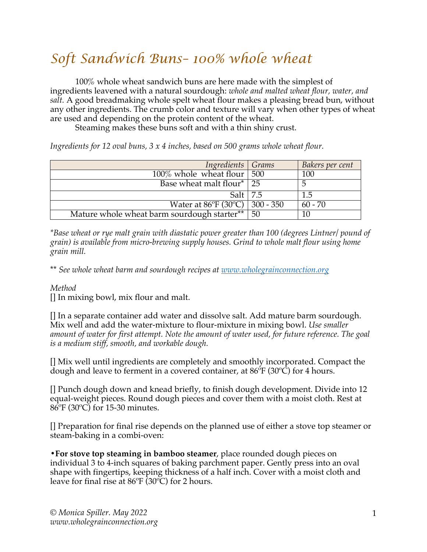## *Soft Sandwich Buns– 100% whole wheat*

100% whole wheat sandwich buns are here made with the simplest of ingredients leavened with a natural sourdough: *whole and malted wheat flour, water, and salt.* A good breadmaking whole spelt wheat flour makes a pleasing bread bun, without any other ingredients. The crumb color and texture will vary when other types of wheat are used and depending on the protein content of the wheat.

Steaming makes these buns soft and with a thin shiny crust.

*Ingredients for 12 oval buns, 3 x 4 inches, based on 500 grams whole wheat flour.*

| Ingredients Grams                                 |    | Bakers per cent |
|---------------------------------------------------|----|-----------------|
| $100\%$ whole wheat flour   500                   |    | 100             |
| Base wheat malt flour* 25                         |    |                 |
| Salt   7.5                                        |    | 1.5             |
| Water at $86^{\circ}F(30^{\circ}C)$   $300 - 350$ |    | $60 - 70$       |
| Mature whole wheat barm sourdough starter**       | 50 |                 |

*\*Base wheat or rye malt grain with diastatic power greater than 100 (degrees Lintner/ pound of grain) is available from micro-brewing supply houses. Grind to whole malt flour using home grain mill.*

\*\* *See whole wheat barm and sourdough recipes at www.wholegrainconnection.org*

## *Method*

[] In mixing bowl, mix flour and malt.

[] In a separate container add water and dissolve salt. Add mature barm sourdough. Mix well and add the water-mixture to flour-mixture in mixing bowl. *Use smaller amount of water for first attempt. Note the amount of water used, for future reference. The goal is a medium stiff, smooth, and workable dough.*

[] Mix well until ingredients are completely and smoothly incorporated. Compact the dough and leave to ferment in a covered container, at 86ºF (30ºC) for 4 hours.

[] Punch dough down and knead briefly, to finish dough development. Divide into 12 equal-weight pieces. Round dough pieces and cover them with a moist cloth. Rest at 86ºF (30ºC) for 15-30 minutes.

[] Preparation for final rise depends on the planned use of either a stove top steamer or steam-baking in a combi-oven:

**•For stove top steaming in bamboo steamer**, place rounded dough pieces on individual 3 to 4-inch squares of baking parchment paper. Gently press into an oval shape with fingertips, keeping thickness of a half inch. Cover with a moist cloth and leave for final rise at 86ºF (30ºC) for 2 hours.